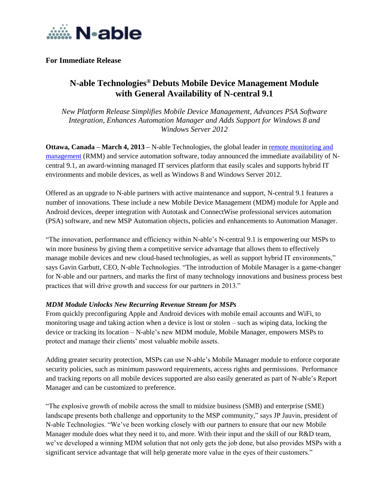

# **For Immediate Release**

# **N-able Technologies® Debuts Mobile Device Management Module with General Availability of N-central 9.1**

*New Platform Release Simplifies Mobile Device Management, Advances PSA Software Integration, Enhances Automation Manager and Adds Support for Windows 8 and Windows Server 2012*

**Ottawa, Canada – March 4, 2013 –** N-able Technologies, the global leader in remote monitoring and [management](http://www.n-able.com/products/n-central/) (RMM) and service automation software, today announced the immediate availability of Ncentral 9.1, an award-winning managed IT services platform that easily scales and supports hybrid IT environments and mobile devices, as well as Windows 8 and Windows Server 2012.

Offered as an upgrade to N-able partners with active maintenance and support, N-central 9.1 features a number of innovations. These include a new Mobile Device Management (MDM) module for Apple and Android devices, deeper integration with Autotask and ConnectWise professional services automation (PSA) software, and new MSP Automation objects, policies and enhancements to Automation Manager.

"The innovation, performance and efficiency within N-able's N-central 9.1 is empowering our MSPs to win more business by giving them a competitive service advantage that allows them to effectively manage mobile devices and new cloud-based technologies, as well as support hybrid IT environments," says Gavin Garbutt, CEO, N-able Technologies. "The introduction of Mobile Manager is a game-changer for N-able and our partners, and marks the first of many technology innovations and business process best practices that will drive growth and success for our partners in 2013."

## *MDM Module Unlocks New Recurring Revenue Stream for MSPs*

From quickly preconfiguring Apple and Android devices with mobile email accounts and WiFi, to monitoring usage and taking action when a device is lost or stolen – such as wiping data, locking the device or tracking its location – N-able's new MDM module, Mobile Manager, empowers MSPs to protect and manage their clients' most valuable mobile assets.

Adding greater security protection, MSPs can use N-able's Mobile Manager module to enforce corporate security policies, such as minimum password requirements, access rights and permissions. Performance and tracking reports on all mobile devices supported are also easily generated as part of N-able's Report Manager and can be customized to preference.

"The explosive growth of mobile across the small to midsize business (SMB) and enterprise (SME) landscape presents both challenge and opportunity to the MSP community," says JP Jauvin, president of N-able Technologies. "We've been working closely with our partners to ensure that our new Mobile Manager module does what they need it to, and more. With their input and the skill of our R&D team, we've developed a winning MDM solution that not only gets the job done, but also provides MSPs with a significant service advantage that will help generate more value in the eyes of their customers."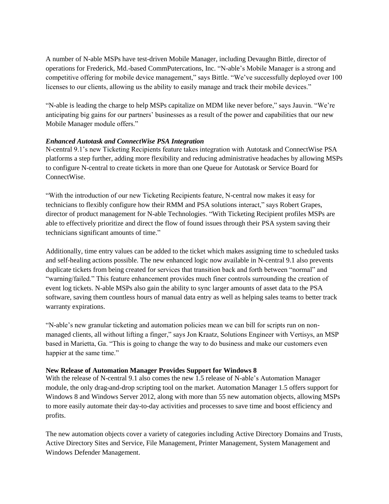A number of N-able MSPs have test-driven Mobile Manager, including Devaughn Bittle, director of operations for Frederick, Md.-based CommPutercations, Inc. "N-able's Mobile Manager is a strong and competitive offering for mobile device management," says Bittle. "We've successfully deployed over 100 licenses to our clients, allowing us the ability to easily manage and track their mobile devices."

"N-able is leading the charge to help MSPs capitalize on MDM like never before," says Jauvin. "We're anticipating big gains for our partners' businesses as a result of the power and capabilities that our new Mobile Manager module offers."

# *Enhanced Autotask and ConnectWise PSA Integration*

N-central 9.1's new Ticketing Recipients feature takes integration with Autotask and ConnectWise PSA platforms a step further, adding more flexibility and reducing administrative headaches by allowing MSPs to configure N-central to create tickets in more than one Queue for Autotask or Service Board for ConnectWise.

"With the introduction of our new Ticketing Recipients feature, N-central now makes it easy for technicians to flexibly configure how their RMM and PSA solutions interact," says Robert Grapes, director of product management for N-able Technologies. "With Ticketing Recipient profiles MSPs are able to effectively prioritize and direct the flow of found issues through their PSA system saving their technicians significant amounts of time."

Additionally, time entry values can be added to the ticket which makes assigning time to scheduled tasks and self-healing actions possible. The new enhanced logic now available in N-central 9.1 also prevents duplicate tickets from being created for services that transition back and forth between "normal" and "warning/failed." This feature enhancement provides much finer controls surrounding the creation of event log tickets. N-able MSPs also gain the ability to sync larger amounts of asset data to the PSA software, saving them countless hours of manual data entry as well as helping sales teams to better track warranty expirations.

"N-able's new granular ticketing and automation policies mean we can bill for scripts run on nonmanaged clients, all without lifting a finger," says Jon Kraatz, Solutions Engineer with Vertisys, an MSP based in Marietta, Ga. "This is going to change the way to do business and make our customers even happier at the same time."

## **New Release of Automation Manager Provides Support for Windows 8**

With the release of N-central 9.1 also comes the new 1.5 release of N-able's Automation Manager module, the only drag-and-drop scripting tool on the market. Automation Manager 1.5 offers support for Windows 8 and Windows Server 2012, along with more than 55 new automation objects, allowing MSPs to more easily automate their day-to-day activities and processes to save time and boost efficiency and profits.

The new automation objects cover a variety of categories including Active Directory Domains and Trusts, Active Directory Sites and Service, File Management, Printer Management, System Management and Windows Defender Management.